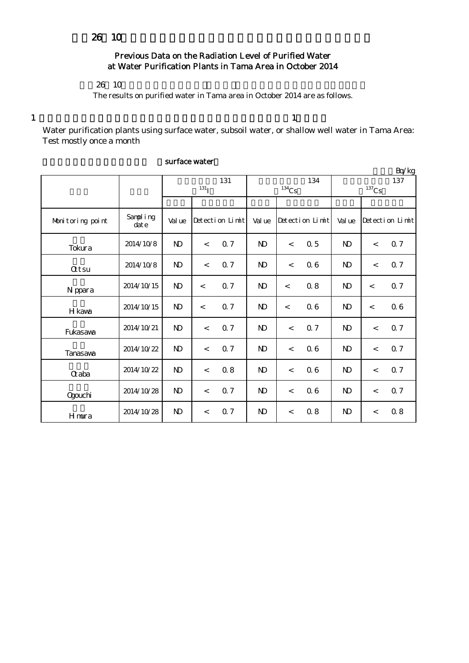## Previous Data on the Radiation Level of Purified Water at Water Purification Plants in Tama Area in October 2014

## $26 \t10$

The results on purified water in Tama area in October 2014 are as follows.

1  $\frac{1}{1}$ 

Water purification plants using surface water, subsoil water, or shallow well water in Tama Area: Test mostly once a month

|                  |                   |              |            |                 |              |       |                 |                |         | Bq/kg           |
|------------------|-------------------|--------------|------------|-----------------|--------------|-------|-----------------|----------------|---------|-----------------|
|                  |                   |              |            | 131             |              |       | 134             |                |         | 137             |
|                  |                   |              | $^{131}$ I |                 | $134$ Cs     |       |                 | $137$ Cs       |         |                 |
|                  |                   |              |            |                 |              |       |                 |                |         |                 |
| Monitoring point | Sampling<br>dat e | Val ue       |            | Detection Limit | Val ue       |       | Detection Limit | Val ue         |         | Detection Limit |
| Tokura           | 2014/10/8         | $\mathbf{D}$ | $\lt$      | 0.7             | $\mathbf{D}$ | $\lt$ | 0.5             | N <sub>D</sub> | $\,<\,$ | 0.7             |
| <b>Qtsu</b>      | 2014/10/8         | $\mathbf{D}$ | $\lt$      | 0.7             | $\mathbf{N}$ | $\,<$ | 06              | N <sub>D</sub> | $\lt$   | 0.7             |
| N ppara          | 2014/10/15        | $\mathbf{D}$ | $\lt$      | 0.7             | $\mathbf{D}$ | $\lt$ | 0.8             | $\mathbf{D}$   | $\lt$   | 0.7             |
| H kawa           | 2014/10/15        | $\mathbf{D}$ | $\lt$      | 0.7             | $\mathbf{D}$ | $\,<$ | 06              | N <sub>D</sub> | $\lt$   | 06              |
| Fukasawa         | 2014/10/21        | $\mathbf{D}$ | $\,<$      | 0.7             | $\mathbf{N}$ | $\lt$ | 0.7             | N <sub>D</sub> | $\,<\,$ | 0.7             |
| Tanasawa         | 2014/10/22        | $\mathbf{D}$ | $\lt$      | 0.7             | $\mathbf{N}$ | $\,<$ | 06              | N <sub>D</sub> | $\lt$   | 0.7             |
| <b>Q</b> aba     | 2014/10/22        | $\mathbf{D}$ | $\lt$      | 0.8             | $\mathbf{N}$ | $\lt$ | 06              | N <sub>D</sub> | $\lt$   | 0.7             |
| Ogouchi          | 2014/10/28        | $\mathbf{N}$ | $\lt$      | 0.7             | $\mathbf{D}$ | $\,<$ | 06              | N <sub>D</sub> | $\,<$   | 0.7             |
| Hmura            | 2014/10/28        | $\mathbf{D}$ | $\,<$      | 0.7             | $\mathbf{N}$ | $\,<$ | 0.8             | $\mathbf{D}$   | $\,<$   | 0.8             |

## surface water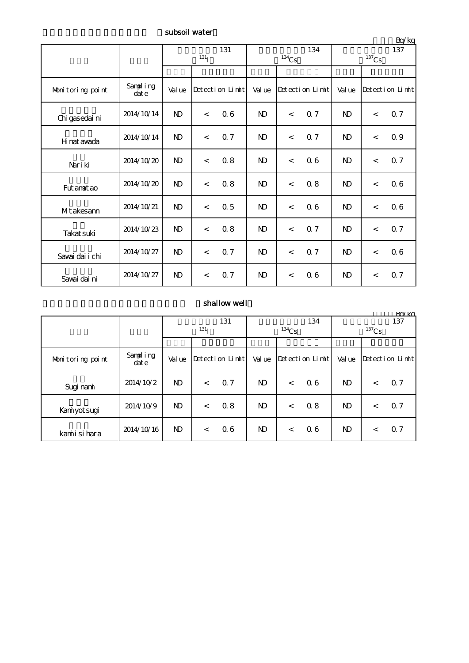subsoil water

| Bq/kg            |                  |                           |                          |                 |              |                          |                 |                 |         |                 |
|------------------|------------------|---------------------------|--------------------------|-----------------|--------------|--------------------------|-----------------|-----------------|---------|-----------------|
|                  |                  | 131<br>$^{131}\mathrm{I}$ |                          |                 |              | $^{134}\mathrm{Cs}$      | 134             | 137<br>$137$ Cs |         |                 |
|                  |                  |                           |                          |                 |              |                          |                 |                 |         |                 |
| Monitoring point | Sampling<br>date | Val ue                    |                          | Detection Limit | Val ue       |                          | Detection Limit | Val ue          |         | Detection Limit |
| Chi gasedai ni   | 2014/10/14       | $\mathbf{N}$              | $\lt$                    | 06              | $\mathbf{D}$ | $\overline{\phantom{a}}$ | 0.7             | $\mathbf{D}$    | $\,<\,$ | 0.7             |
| H nat awada      | 2014/10/14       | $\mathbf{N}$              | $\overline{\phantom{a}}$ | 0.7             | ND           | $\prec$                  | Q <sub>7</sub>  | $\mathbf{D}$    | $\,<$   | 0.9             |
| Nari ki          | 2014/10/20       | $\mathbf{N}$              | $\,<\,$                  | 0.8             | $\mathbf{N}$ | $\lt$                    | 06              | $\mathbf{D}$    | $\,<$   | 0.7             |
| Fut anat ao      | 2014/10/20       | $\mathbf{D}$              | $\lt$                    | 0.8             | $\mathbf{N}$ | $\prec$                  | $0.8$           | $\mathbf{N}$    | $\,<$   | 06              |
| Mitakesann       | 2014/10/21       | $\mathbf{D}$              | $\lt$                    | 0.5             | $\mathbf{D}$ | $\lt$                    | 06              | $\mathbf{D}$    | $\,<\,$ | 06              |
| Takat suki       | 2014/10/23       | $\mathbf{D}$              | $\lt$                    | 0.8             | $\mathbf{D}$ | $\lt$                    | Q <sub>7</sub>  | N <sub>D</sub>  | $\,<\,$ | 0.7             |
| Savai dai i chi  | 2014/10/27       | $\mathbf{D}$              | $\lt$                    | 0.7             | $\mathbf{D}$ | $\lt$                    | 0.7             | N <sub>D</sub>  | $\lt$   | 06              |
| Savai dai ni     | 2014/10/27       | $\mathbf{D}$              | $\overline{\phantom{a}}$ | 0.7             | $\mathbf{D}$ | $\lt$                    | 06              | $\mathbf{D}$    | $\,<\,$ | 0.7             |

## $\boldsymbol{\mathrm{shallow}}$  well

|                  | Rn/kg            |                  |       |                 |              |          |                      |                       |         |                 |
|------------------|------------------|------------------|-------|-----------------|--------------|----------|----------------------|-----------------------|---------|-----------------|
|                  |                  | 131              |       |                 | 134          |          |                      | 137                   |         |                 |
|                  |                  | 131 <sub>T</sub> |       |                 |              | $134$ Cs |                      | ${}^{137}\mathrm{Cs}$ |         |                 |
|                  |                  |                  |       |                 |              |          |                      |                       |         |                 |
| Monitoring point | Sampling<br>date | Val ue           |       | Detection Limit | Val ue       |          | $Detecti$ on $Limit$ | Val ue                |         | Detection Limit |
| Sugi nami        | 2014/10/2        | ND.              | $\lt$ | 0.7             | ND.          | $\lt$    | 06                   | N <sub>D</sub>        | $\lt$   | 0.7             |
| Kaniyotsugi      | 2014/10/9        | N <sub>D</sub>   | $\lt$ | 0.8             | $\mathbf{D}$ | $\lt$    | 0.8                  | N <sub>D</sub>        | $\,<\,$ | 0.7             |
| kamiisihara      | 2014/10/16       | ND.              | $\lt$ | 06              | ND.          | $\,<\,$  | 06                   | N <sub>D</sub>        | $\,<\,$ | Q <sub>7</sub>  |